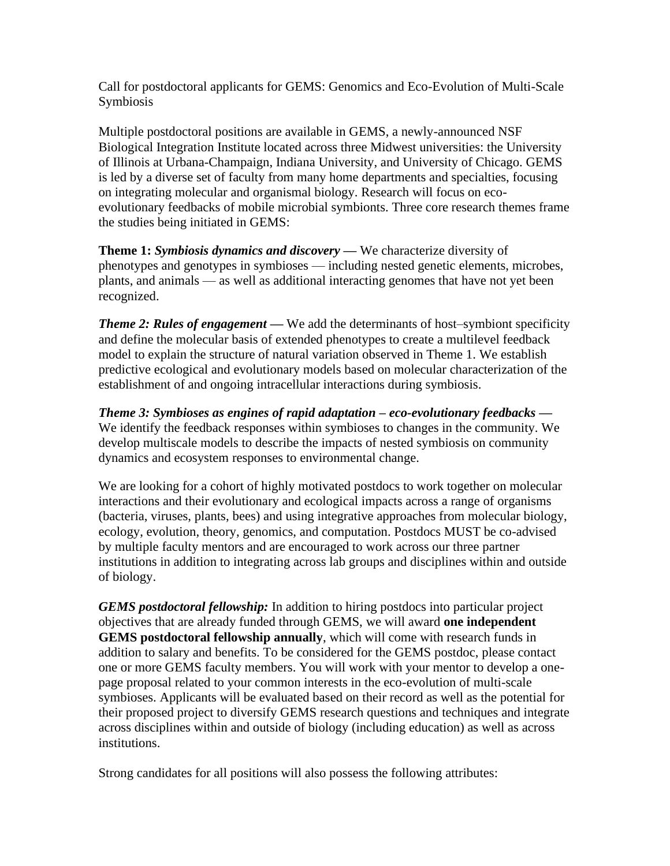Call for postdoctoral applicants for GEMS: Genomics and Eco-Evolution of Multi-Scale Symbiosis

Multiple postdoctoral positions are available in GEMS, a newly-announced NSF Biological Integration Institute located across three Midwest universities: the University of Illinois at Urbana-Champaign, Indiana University, and University of Chicago. GEMS is led by a diverse set of faculty from many home departments and specialties, focusing on integrating molecular and organismal biology. Research will focus on ecoevolutionary feedbacks of mobile microbial symbionts. Three core research themes frame the studies being initiated in GEMS:

**Theme 1:** *Symbiosis dynamics and discovery* **—** We characterize diversity of phenotypes and genotypes in symbioses — including nested genetic elements, microbes, plants, and animals — as well as additional interacting genomes that have not yet been recognized.

*Theme 2: Rules of engagement —* We add the determinants of host–symbiont specificity and define the molecular basis of extended phenotypes to create a multilevel feedback model to explain the structure of natural variation observed in Theme 1. We establish predictive ecological and evolutionary models based on molecular characterization of the establishment of and ongoing intracellular interactions during symbiosis.

*Theme 3: Symbioses as engines of rapid adaptation – eco-evolutionary feedbacks —* We identify the feedback responses within symbioses to changes in the community. We develop multiscale models to describe the impacts of nested symbiosis on community dynamics and ecosystem responses to environmental change.

We are looking for a cohort of highly motivated postdocs to work together on molecular interactions and their evolutionary and ecological impacts across a range of organisms (bacteria, viruses, plants, bees) and using integrative approaches from molecular biology, ecology, evolution, theory, genomics, and computation. Postdocs MUST be co-advised by multiple faculty mentors and are encouraged to work across our three partner institutions in addition to integrating across lab groups and disciplines within and outside of biology.

*GEMS postdoctoral fellowship:* In addition to hiring postdocs into particular project objectives that are already funded through GEMS, we will award **one independent GEMS postdoctoral fellowship annually**, which will come with research funds in addition to salary and benefits. To be considered for the GEMS postdoc, please contact one or more GEMS faculty members. You will work with your mentor to develop a onepage proposal related to your common interests in the eco-evolution of multi-scale symbioses. Applicants will be evaluated based on their record as well as the potential for their proposed project to diversify GEMS research questions and techniques and integrate across disciplines within and outside of biology (including education) as well as across institutions.

Strong candidates for all positions will also possess the following attributes: